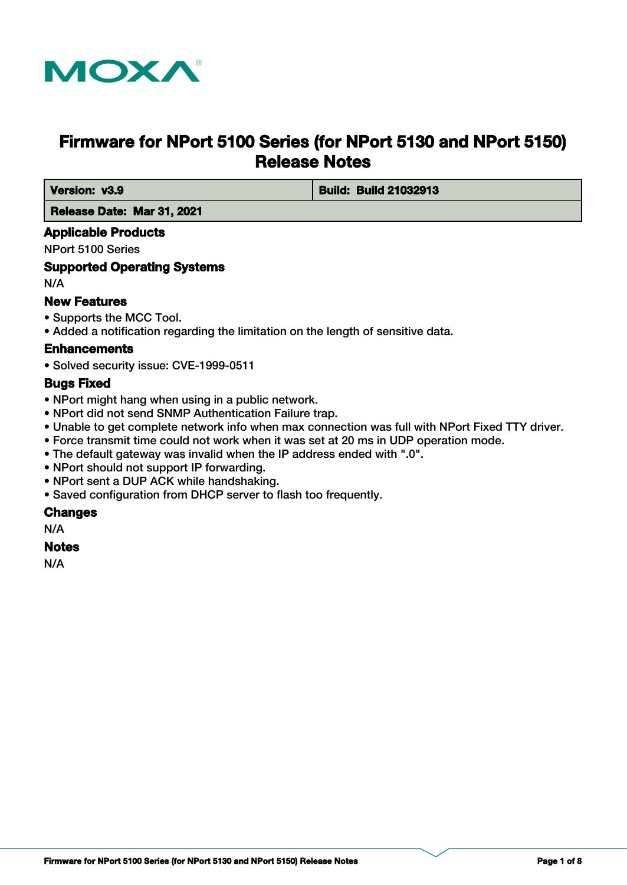

# **Firmware for NPort 5100 Series (for NPort 5130 and NPort 5150) Release Notes**

 **Version: v3.9 Build: Build 21032913**

 **Release Date: Mar 31, 2021**

## **Applicable Products**

NPort 5100 Series

## **Supported Operating Systems**

N/A

## **New Features**

- Supports the MCC Tool.
- Added a notification regarding the limitation on the length of sensitive data.

#### **Enhancements**

• Solved security issue: CVE-1999-0511

#### **Bugs Fixed**

- NPort might hang when using in a public network.
- NPort did not send SNMP Authentication Failure trap.
- Unable to get complete network info when max connection was full with NPort Fixed TTY driver.
- Force transmit time could not work when it was set at 20 ms in UDP operation mode.
- The default gateway was invalid when the IP address ended with ".0".
- NPort should not support IP forwarding.
- NPort sent a DUP ACK while handshaking.
- Saved configuration from DHCP server to flash too frequently.

#### **Changes**

N/A

#### **Notes**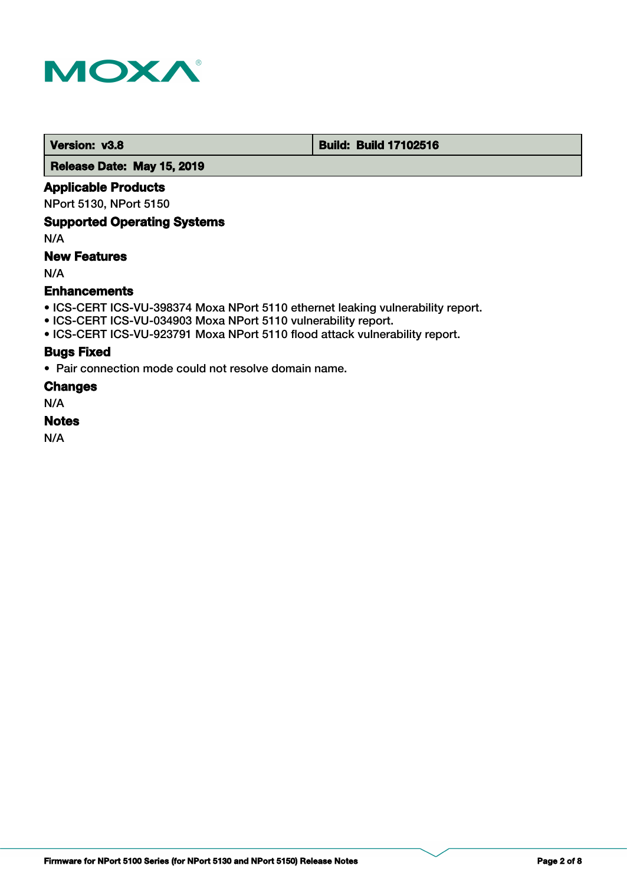

 **Version: v3.8 Build: Build: Build 17102516** 

 **Release Date: May 15, 2019**

## **Applicable Products**

NPort 5130, NPort 5150

## **Supported Operating Systems**

N/A

## **New Features**

N/A

## **Enhancements**

- ICS-CERT ICS-VU-398374 Moxa NPort 5110 ethernet leaking vulnerability report.
- ICS-CERT ICS-VU-034903 Moxa NPort 5110 vulnerability report.
- ICS-CERT ICS-VU-923791 Moxa NPort 5110 flood attack vulnerability report.

#### **Bugs Fixed**

• Pair connection mode could not resolve domain name.

#### **Changes**

N/A

# **Notes**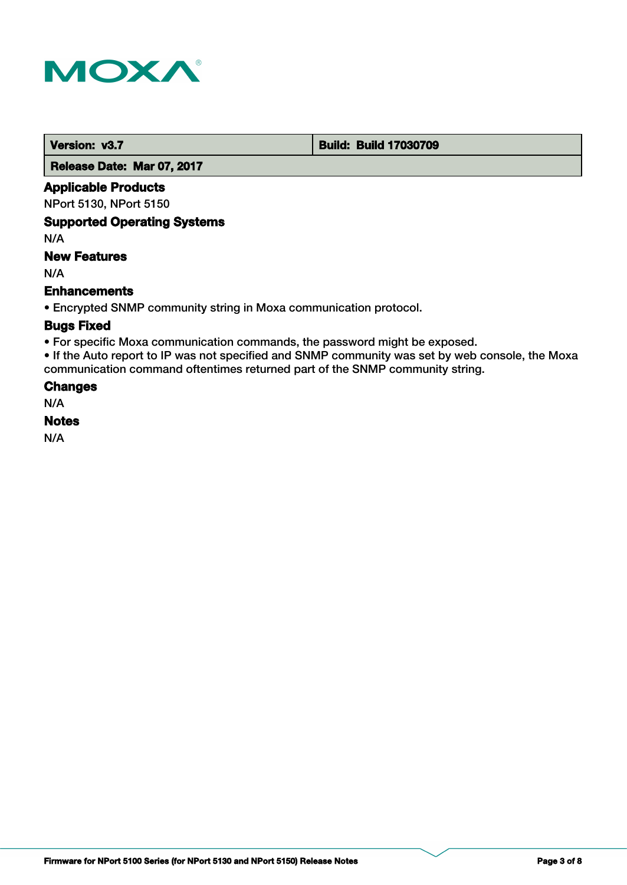

 **Version: v3.7 Build: Build: Build 17030709** 

 **Release Date: Mar 07, 2017**

## **Applicable Products**

NPort 5130, NPort 5150

## **Supported Operating Systems**

N/A

# **New Features**

N/A

## **Enhancements**

• Encrypted SNMP community string in Moxa communication protocol.

## **Bugs Fixed**

• For specific Moxa communication commands, the password might be exposed.

• If the Auto report to IP was not specified and SNMP community was set by web console, the Moxa communication command oftentimes returned part of the SNMP community string.

#### **Changes**

N/A

## **Notes**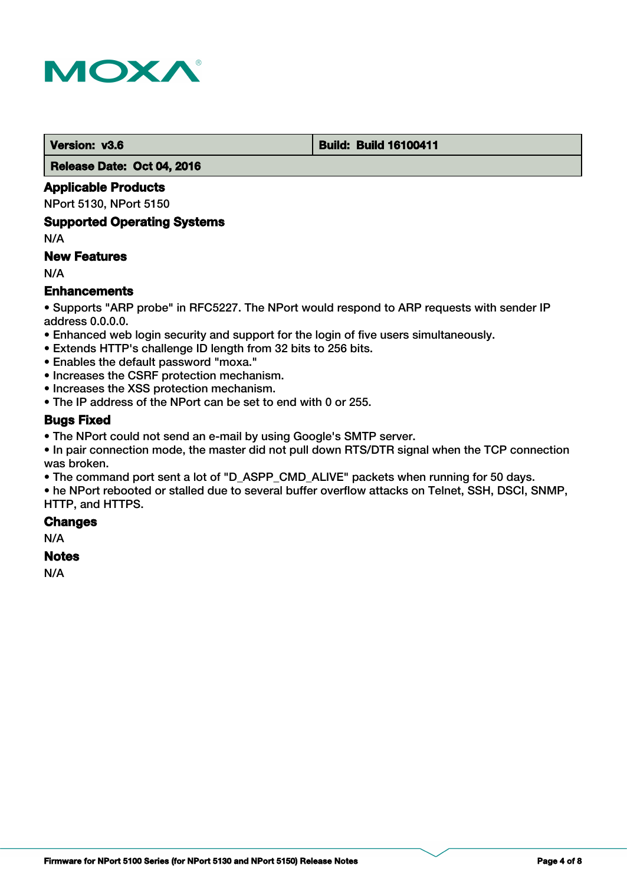

 **Version: v3.6 Build: Build: Build 16100411** 

 **Release Date: Oct 04, 2016**

# **Applicable Products**

NPort 5130, NPort 5150

#### **Supported Operating Systems**

N/A

# **New Features**

N/A

# **Enhancements**

• Supports "ARP probe" in RFC5227. The NPort would respond to ARP requests with sender IP address 0.0.0.0.

- Enhanced web login security and support for the login of five users simultaneously.
- Extends HTTP's challenge ID length from 32 bits to 256 bits.
- Enables the default password "moxa."
- Increases the CSRF protection mechanism.
- Increases the XSS protection mechanism.
- The IP address of the NPort can be set to end with 0 or 255.

# **Bugs Fixed**

• The NPort could not send an e-mail by using Google's SMTP server.

• In pair connection mode, the master did not pull down RTS/DTR signal when the TCP connection was broken.

• The command port sent a lot of "D\_ASPP\_CMD\_ALIVE" packets when running for 50 days.

• he NPort rebooted or stalled due to several buffer overflow attacks on Telnet, SSH, DSCI, SNMP, HTTP, and HTTPS.

#### **Changes**

N/A

# **Notes**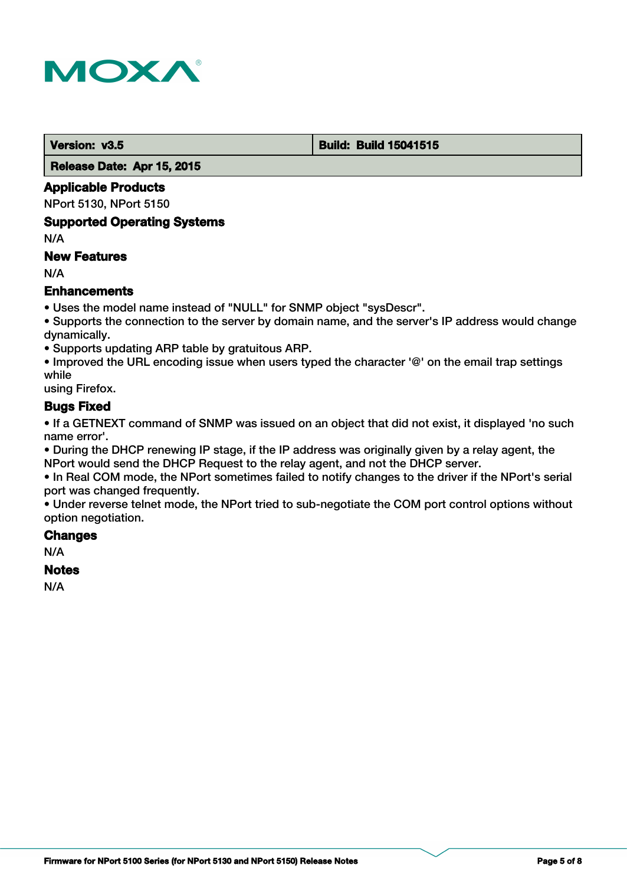

#### **Version: v3.5 Build: Build: Build 15041515**

 **Release Date: Apr 15, 2015**

## **Applicable Products**

NPort 5130, NPort 5150

#### **Supported Operating Systems**

N/A

## **New Features**

N/A

# **Enhancements**

• Uses the model name instead of "NULL" for SNMP object "sysDescr".

• Supports the connection to the server by domain name, and the server's IP address would change dynamically.

• Supports updating ARP table by gratuitous ARP.

• Improved the URL encoding issue when users typed the character '@' on the email trap settings while

using Firefox.

# **Bugs Fixed**

• If a GETNEXT command of SNMP was issued on an object that did not exist, it displayed 'no such name error'.

• During the DHCP renewing IP stage, if the IP address was originally given by a relay agent, the NPort would send the DHCP Request to the relay agent, and not the DHCP server.

• In Real COM mode, the NPort sometimes failed to notify changes to the driver if the NPort's serial port was changed frequently.

• Under reverse telnet mode, the NPort tried to sub-negotiate the COM port control options without option negotiation.

# **Changes**

N/A

#### **Notes**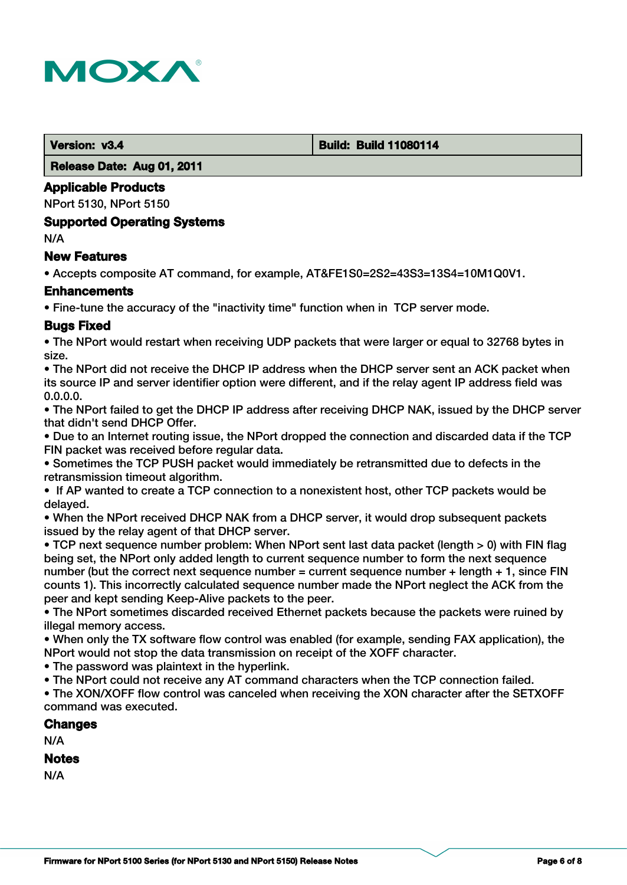

 **Version: v3.4 Build: Build: Build 11080114** 

 **Release Date: Aug 01, 2011**

## **Applicable Products**

NPort 5130, NPort 5150

#### **Supported Operating Systems**

N/A

## **New Features**

• Accepts composite AT command, for example, AT&FE1S0=2S2=43S3=13S4=10M1Q0V1.

## **Enhancements**

• Fine-tune the accuracy of the "inactivity time" function when in TCP server mode.

# **Bugs Fixed**

• The NPort would restart when receiving UDP packets that were larger or equal to 32768 bytes in size.

• The NPort did not receive the DHCP IP address when the DHCP server sent an ACK packet when its source IP and server identifier option were different, and if the relay agent IP address field was 0.0.0.0.

• The NPort failed to get the DHCP IP address after receiving DHCP NAK, issued by the DHCP server that didn't send DHCP Offer.

• Due to an Internet routing issue, the NPort dropped the connection and discarded data if the TCP FIN packet was received before regular data.

• Sometimes the TCP PUSH packet would immediately be retransmitted due to defects in the retransmission timeout algorithm.

• If AP wanted to create a TCP connection to a nonexistent host, other TCP packets would be delayed.

• When the NPort received DHCP NAK from a DHCP server, it would drop subsequent packets issued by the relay agent of that DHCP server.

• TCP next sequence number problem: When NPort sent last data packet (length > 0) with FIN flag being set, the NPort only added length to current sequence number to form the next sequence number (but the correct next sequence number = current sequence number + length + 1, since FIN counts 1). This incorrectly calculated sequence number made the NPort neglect the ACK from the peer and kept sending Keep-Alive packets to the peer.

• The NPort sometimes discarded received Ethernet packets because the packets were ruined by illegal memory access.

• When only the TX software flow control was enabled (for example, sending FAX application), the NPort would not stop the data transmission on receipt of the XOFF character.

• The password was plaintext in the hyperlink.

• The NPort could not receive any AT command characters when the TCP connection failed.

• The XON/XOFF flow control was canceled when receiving the XON character after the SETXOFF command was executed.

# **Changes**

N/A

# **Notes**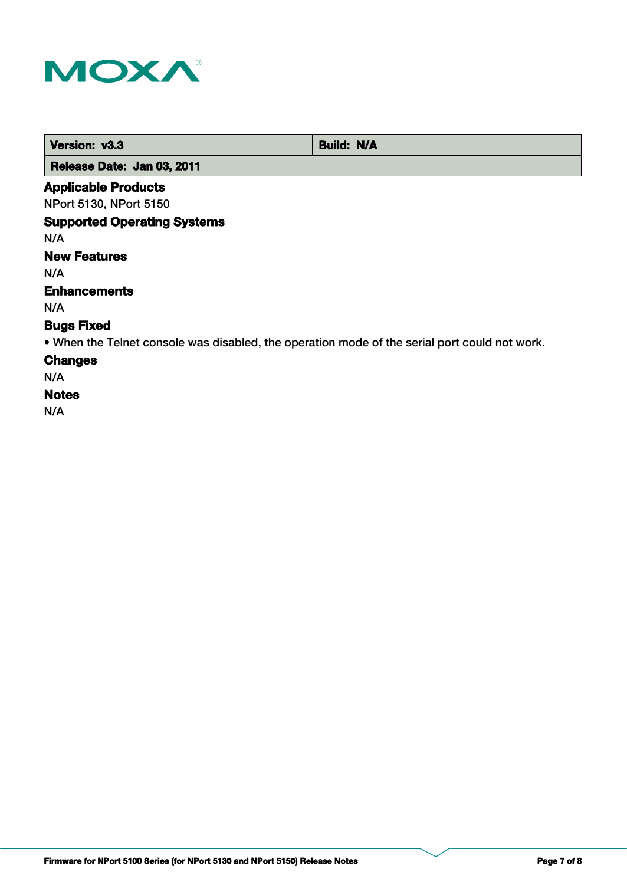

| Version: v3.3              | <b>Build: N/A</b> |
|----------------------------|-------------------|
| Release Date: Jan 03, 2011 |                   |

# **Applicable Products**

NPort 5130, NPort 5150

## **Supported Operating Systems**

N/A

# **New Features**

N/A

## **Enhancements**

N/A

# **Bugs Fixed**

• When the Telnet console was disabled, the operation mode of the serial port could not work.

# **Changes**

N/A

## **Notes**